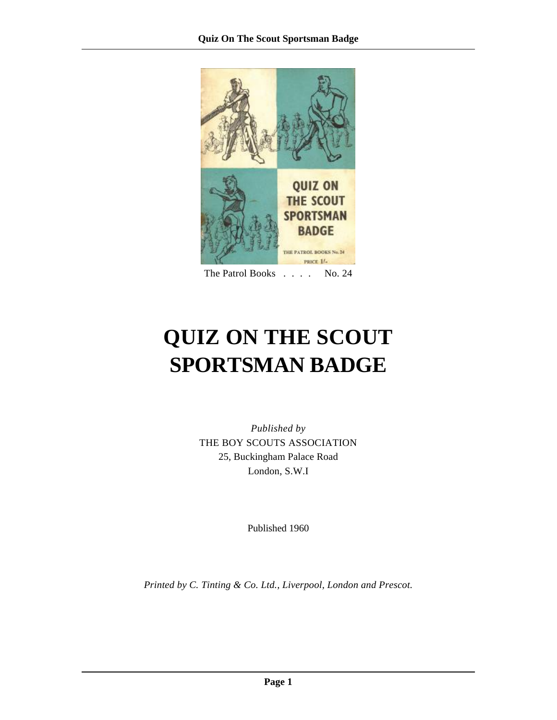

The Patrol Books . . . . No. 24

# **QUIZ ON THE SCOUT SPORTSMAN BADGE**

*Published by* THE BOY SCOUTS ASSOCIATION 25, Buckingham Palace Road London, S.W.I

Published 1960

*Printed by C. Tinting & Co. Ltd., Liverpool, London and Prescot.*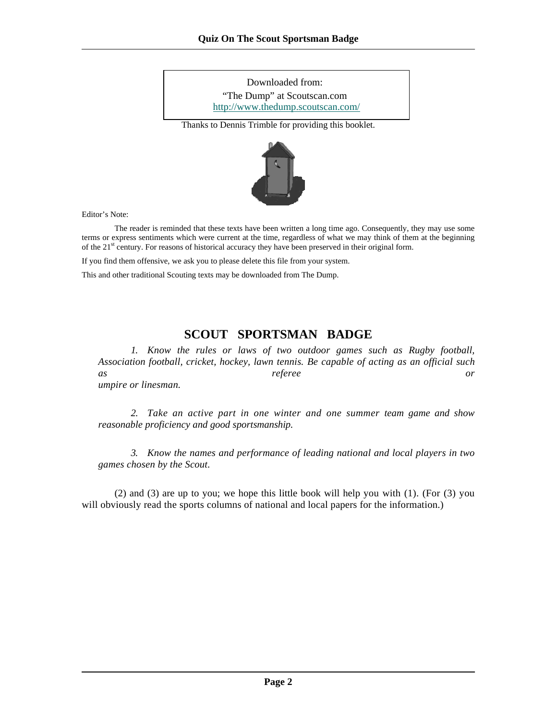Thanks to Dennis Trimble for providing this booklet. Downloaded from: "The Dump" at Scoutscan.com http://www.thedump.scoutscan.com/



Editor's Note:

 The reader is reminded that these texts have been written a long time ago. Consequently, they may use some terms or express sentiments which were current at the time, regardless of what we may think of them at the beginning of the 21<sup>st</sup> century. For reasons of historical accuracy they have been preserved in their original form.

If you find them offensive, we ask you to please delete this file from your system.

This and other traditional Scouting texts may be downloaded from The Dump.

## **SCOUT SPORTSMAN BADGE**

*1. Know the rules or laws of two outdoor games such as Rugby football, Association football, cricket, hockey, lawn tennis. Be capable of acting as an official such as referee or umpire or linesman.* 

*2. Take an active part in one winter and one summer team game and show reasonable proficiency and good sportsmanship.* 

*3. Know the names and performance of leading national and local players in two games chosen by the Scout.* 

(2) and (3) are up to you; we hope this little book will help you with (1). (For (3) you will obviously read the sports columns of national and local papers for the information.)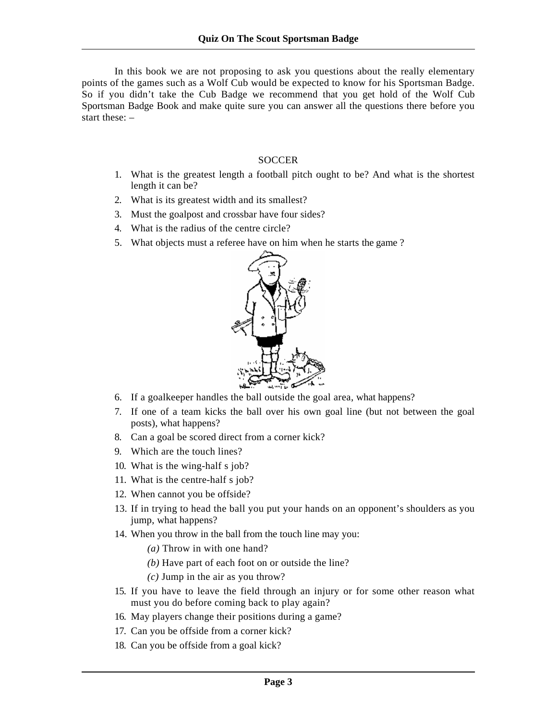In this book we are not proposing to ask you questions about the really elementary points of the games such as a Wolf Cub would be expected to know for his Sportsman Badge. So if you didn't take the Cub Badge we recommend that you get hold of the Wolf Cub Sportsman Badge Book and make quite sure you can answer all the questions there before you start these: –

#### **SOCCER**

- 1. What is the greatest length a football pitch ought to be? And what is the shortest length it can be?
- 2. What is its greatest width and its smallest?
- 3. Must the goalpost and crossbar have four sides?
- 4. What is the radius of the centre circle?
- 5. What objects must a referee have on him when he starts the game ?



- 6. If a goalkeeper handles the ball outside the goal area, what happens?
- 7. If one of a team kicks the ball over his own goal line (but not between the goal posts), what happens?
- 8. Can a goal be scored direct from a corner kick?
- 9. Which are the touch lines?
- 10. What is the wing-half s job?
- 11. What is the centre-half s job?
- 12. When cannot you be offside?
- 13. If in trying to head the ball you put your hands on an opponent's shoulders as you jump, what happens?
- 14. When you throw in the ball from the touch line may you:
	- *(a)* Throw in with one hand?
	- *(b)* Have part of each foot on or outside the line?
	- *(c)* Jump in the air as you throw?
- 15. If you have to leave the field through an injury or for some other reason what must you do before coming back to play again?
- 16. May players change their positions during a game?
- 17. Can you be offside from a corner kick?
- 18. Can you be offside from a goal kick?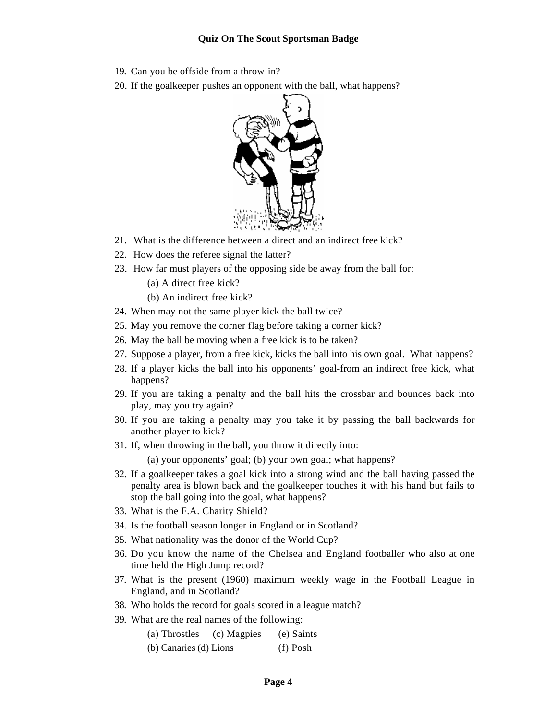- 19. Can you be offside from a throw-in?
- 20. If the goalkeeper pushes an opponent with the ball, what happens?



- 21. What is the difference between a direct and an indirect free kick?
- 22. How does the referee signal the latter?
- 23. How far must players of the opposing side be away from the ball for:
	- (a) A direct free kick?
	- (b) An indirect free kick?
- 24. When may not the same player kick the ball twice?
- 25. May you remove the corner flag before taking a corner kick?
- 26. May the ball be moving when a free kick is to be taken?
- 27. Suppose a player, from a free kick, kicks the ball into his own goal. What happens?
- 28. If a player kicks the ball into his opponents' goal-from an indirect free kick, what happens?
- 29. If you are taking a penalty and the ball hits the crossbar and bounces back into play, may you try again?
- 30. If you are taking a penalty may you take it by passing the ball backwards for another player to kick?
- 31. If, when throwing in the ball, you throw it directly into:

(a) your opponents' goal; (b) your own goal; what happens?

- 32. If a goalkeeper takes a goal kick into a strong wind and the ball having passed the penalty area is blown back and the goalkeeper touches it with his hand but fails to stop the ball going into the goal, what happens?
- 33. What is the F.A. Charity Shield?
- 34. Is the football season longer in England or in Scotland?
- 35. What nationality was the donor of the World Cup?
- 36. Do you know the name of the Chelsea and England footballer who also at one time held the High Jump record?
- 37. What is the present (1960) maximum weekly wage in the Football League in England, and in Scotland?
- 38. Who holds the record for goals scored in a league match?
- 39. What are the real names of the following:
	- (a) Throstles (c) Magpies (e) Saints
	- (b) Canaries (d) Lions (f) Posh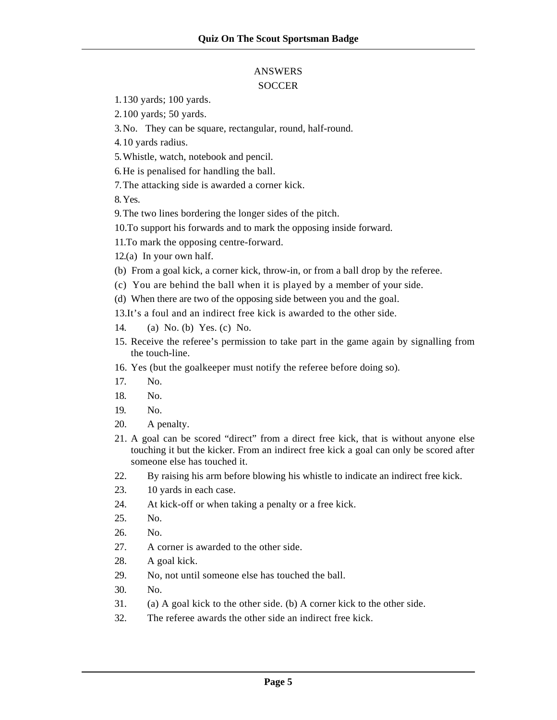#### ANSWERS **SOCCER**

- 1.130 yards; 100 yards.
- 2.100 yards; 50 yards.
- 3.No. They can be square, rectangular, round, half-round.
- 4.10 yards radius.
- 5.Whistle, watch, notebook and pencil.
- 6.He is penalised for handling the ball.
- 7.The attacking side is awarded a corner kick.

8.Yes.

- 9.The two lines bordering the longer sides of the pitch.
- 10.To support his forwards and to mark the opposing inside forward.
- 11.To mark the opposing centre-forward.
- 12.(a) In your own half.
- (b) From a goal kick, a corner kick, throw-in, or from a ball drop by the referee.
- (c) You are behind the ball when it is played by a member of your side.
- (d) When there are two of the opposing side between you and the goal.
- 13.It's a foul and an indirect free kick is awarded to the other side.
- 14. (a) No. (b) Yes. (c)No.
- 15. Receive the referee's permission to take part in the game again by signalling from the touch-line.
- 16. Yes (but the goalkeeper must notify the referee before doing so).
- 17. No.
- 18. No.
- 19. No.
- 20. A penalty.
- 21. A goal can be scored "direct" from a direct free kick, that is without anyone else touching it but the kicker. From an indirect free kick a goal can only be scored after someone else has touched it.
- 22. By raising his arm before blowing his whistle to indicate an indirect free kick.
- 23. 10 yards in each case.
- 24. At kick-off or when taking a penalty or a free kick.
- 25. No.
- 26. No.
- 27. A corner is awarded to the other side.
- 28. A goal kick.
- 29. No, not until someone else has touched the ball.
- 30. No.
- 31. (a) A goal kick to the other side. (b) A corner kick to the other side.
- 32. The referee awards the other side an indirect free kick.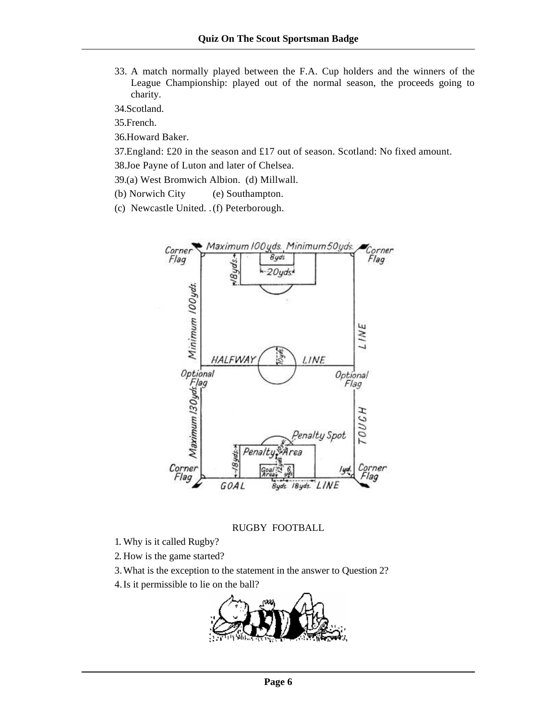33. A match normally played between the F.A. Cup holders and the winners of the League Championship: played out of the normal season, the proceeds going to charity.

34.Scotland.

35.French.

36.Howard Baker.

37.England: £20 in the season and £17 out of season. Scotland: No fixed amount.

38.Joe Payne of Luton and later of Chelsea.

39.(a) West Bromwich Albion. (d) Millwall.

(b) Norwich City (e) Southampton.

(c) Newcastle United. . (f) Peterborough.



#### RUGBY FOOTBALL

- 1. Why is it called Rugby?
- 2. How is the game started?

3.What is the exception to the statement in the answer to Question 2?

4.Is it permissible to lie on the ball?

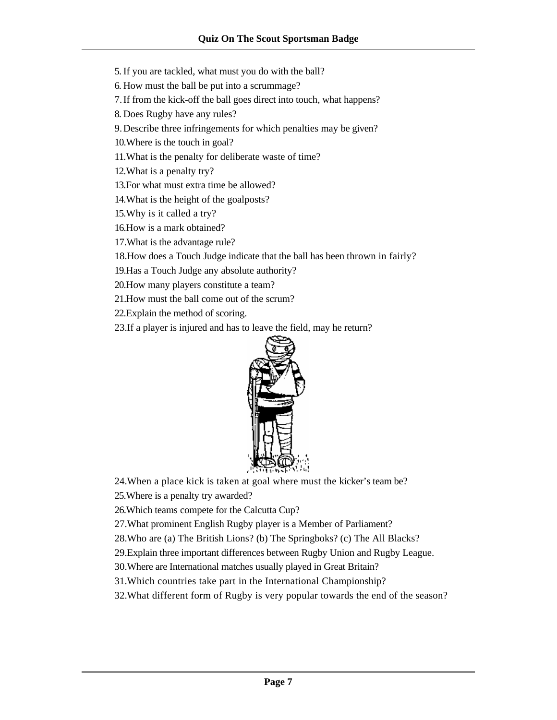5.If you are tackled, what must you do with the ball?

6. How must the ball be put into a scrummage?

7.If from the kick-off the ball goes direct into touch, what happens?

8. Does Rugby have any rules?

9.Describe three infringements for which penalties may be given?

10.Where is the touch in goal?

11.What is the penalty for deliberate waste of time?

12.What is a penalty try?

13.For what must extra time be allowed?

14.What is the height of the goalposts?

15.Why is it called a try?

16.How is a mark obtained?

17.What is the advantage rule?

18.How does a Touch Judge indicate that the ball has been thrown in fairly?

19.Has a Touch Judge any absolute authority?

20.How many players constitute a team?

21.How must the ball come out of the scrum?

22.Explain the method of scoring.

23.If a player is injured and has to leave the field, may he return?



24.When a place kick is taken at goal where must the kicker's team be?

25.Where is a penalty try awarded?

26.Which teams compete for the Calcutta Cup?

27.What prominent English Rugby player is a Member of Parliament?

28.Who are (a) The British Lions? (b) The Springboks? (c) The All Blacks?

29.Explain three important differences between Rugby Union and Rugby League.

30.Where are International matches usually played in Great Britain?

31.Which countries take part in the International Championship?

32.What different form of Rugby is very popular towards the end of the season?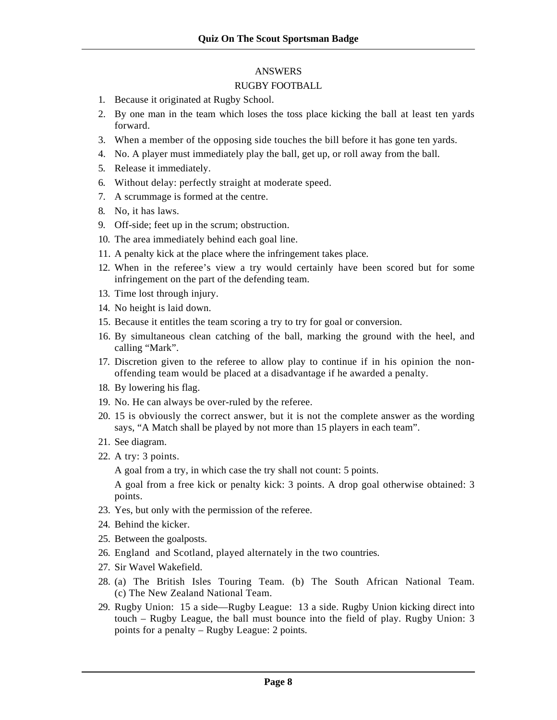#### ANSWERS

#### RUGBY FOOTBALL

- 1. Because it originated at Rugby School.
- 2. By one man in the team which loses the toss place kicking the ball at least ten yards forward.
- 3. When a member of the opposing side touches the bill before it has gone ten yards.
- 4. No. A player must immediately play the ball, get up, or roll away from the ball.
- 5. Release it immediately.
- 6. Without delay: perfectly straight at moderate speed.
- 7. A scrummage is formed at the centre.
- 8. No, it has laws.
- 9. Off-side; feet up in the scrum; obstruction.
- 10. The area immediately behind each goal line.
- 11. A penalty kick at the place where the infringement takes place.
- 12. When in the referee's view a try would certainly have been scored but for some infringement on the part of the defending team.
- 13. Time lost through injury.
- 14. No height is laid down.
- 15. Because it entitles the team scoring a try to try for goal or conversion.
- 16. By simultaneous clean catching of the ball, marking the ground with the heel, and calling "Mark".
- 17. Discretion given to the referee to allow play to continue if in his opinion the nonoffending team would be placed at a disadvantage if he awarded a penalty.
- 18. By lowering his flag.
- 19. No. He can always be over-ruled by the referee.
- 20. 15 is obviously the correct answer, but it is not the complete answer as the wording says, "A Match shall be played by not more than 15 players in each team".
- 21. See diagram.
- 22. A try: 3 points.

A goal from a try, in which case the try shall not count: 5 points.

A goal from a free kick or penalty kick: 3 points. A drop goal otherwise obtained: 3 points.

- 23. Yes, but only with the permission of the referee.
- 24. Behind the kicker.
- 25. Between the goalposts.
- 26. England and Scotland, played alternately in the two countries.
- 27. Sir Wavel Wakefield.
- 28. (a) The British Isles Touring Team. (b) The South African National Team. (c) The New Zealand National Team.
- 29. Rugby Union: 15 a side—Rugby League: 13 a side. Rugby Union kicking direct into touch – Rugby League, the ball must bounce into the field of play. Rugby Union: 3 points for a penalty – Rugby League: 2 points.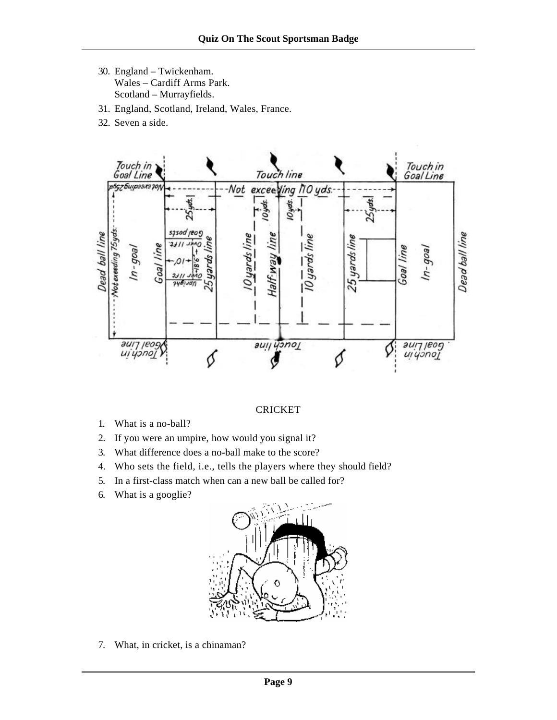- 30. England Twickenham. Wales – Cardiff Arms Park. Scotland – Murrayfields.
- 31. England, Scotland, Ireland, Wales, France.
- 32. Seven a side.



#### CRICKET

- 1. What is a no-ball?
- 2. If you were an umpire, how would you signal it?
- 3. What difference does a no-ball make to the score?
- 4. Who sets the field, i.e., tells the players where they should field?
- 5. In a first-class match when can a new ball be called for?
- 6. What is a googlie?



7. What, in cricket, is a chinaman?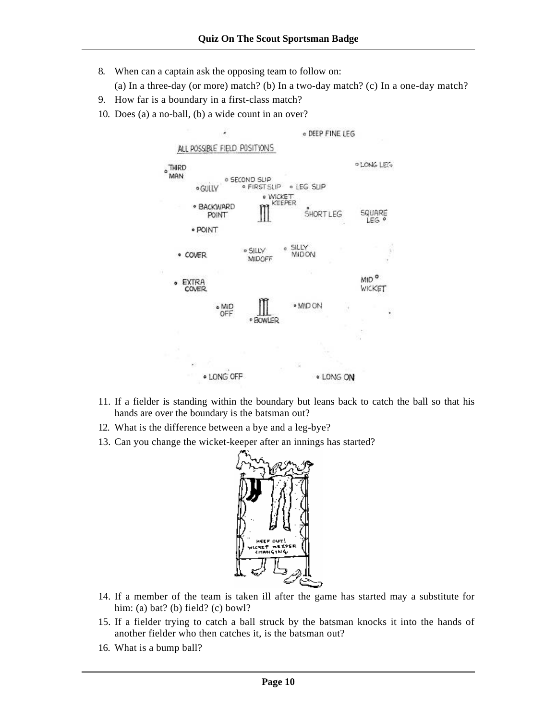- 8. When can a captain ask the opposing team to follow on:
	- (a) In a three-day (or more) match? (b) In a two-day match? (c) In a one-day match?
- 9. How far is a boundary in a first-class match?
- 10. Does (a) a no-ball, (b) a wide count in an over?



- 11. If a fielder is standing within the boundary but leans back to catch the ball so that his hands are over the boundary is the batsman out?
- 12. What is the difference between a bye and a leg-bye?
- 13. Can you change the wicket-keeper after an innings has started?



- 14. If a member of the team is taken ill after the game has started may a substitute for him: (a) bat? (b) field? (c) bowl?
- 15. If a fielder trying to catch a ball struck by the batsman knocks it into the hands of another fielder who then catches it, is the batsman out?
- 16. What is a bump ball?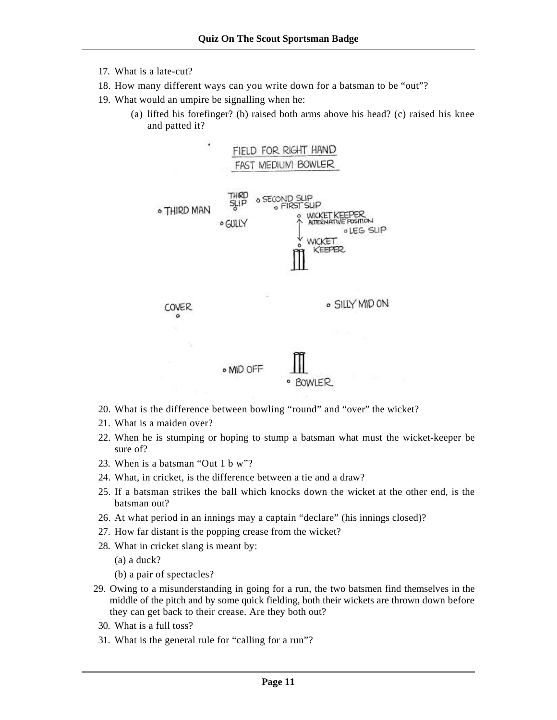- 17. What is a late-cut?
- 18. How many different ways can you write down for a batsman to be "out"?
- 19. What would an umpire be signalling when he:
	- (a) lifted his forefinger? (b) raised both arms above his head? (c) raised his knee and patted it?



- 20. What is the difference between bowling "round" and "over" the wicket?
- 21. What is a maiden over?
- 22. When he is stumping or hoping to stump a batsman what must the wicket-keeper be sure of?
- 23. When is a batsman "Out 1 b w"?
- 24. What, in cricket, is the difference between a tie and a draw?
- 25. If a batsman strikes the ball which knocks down the wicket at the other end, is the batsman out?
- 26. At what period in an innings may a captain "declare" (his innings closed)?
- 27. How far distant is the popping crease from the wicket?
- 28. What in cricket slang is meant by:
	- (a) a duck?
	- (b) a pair of spectacles?
- 29. Owing to a misunderstanding in going for a run, the two batsmen find themselves in the middle of the pitch and by some quick fielding, both their wickets are thrown down before they can get back to their crease. Are they both out?
- 30. What is a full toss?
- 31. What is the general rule for "calling for a run"?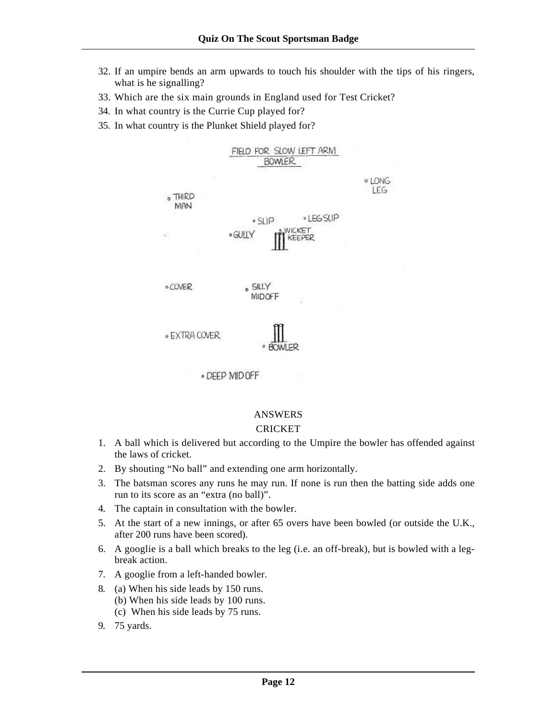- 32. If an umpire bends an arm upwards to touch his shoulder with the tips of his ringers, what is he signalling?
- 33. Which are the six main grounds in England used for Test Cricket?
- 34. In what country is the Currie Cup played for?
- 35. In what country is the Plunket Shield played for?



#### ANSWERS

#### CRICKET

- 1. A ball which is delivered but according to the Umpire the bowler has offended against the laws of cricket.
- 2. By shouting "No ball" and extending one arm horizontally.
- 3. The batsman scores any runs he may run. If none is run then the batting side adds one run to its score as an "extra (no ball)".
- 4. The captain in consultation with the bowler.
- 5. At the start of a new innings, or after 65 overs have been bowled (or outside the U.K., after 200 runs have been scored).
- 6. A googlie is a ball which breaks to the leg (i.e. an off-break), but is bowled with a legbreak action.
- 7. A googlie from a left-handed bowler.
- 8. (a) When his side leads by 150 runs.
	- (b) When his side leads by 100 runs.
	- (c)When his side leads by 75 runs.
- 9. 75 yards.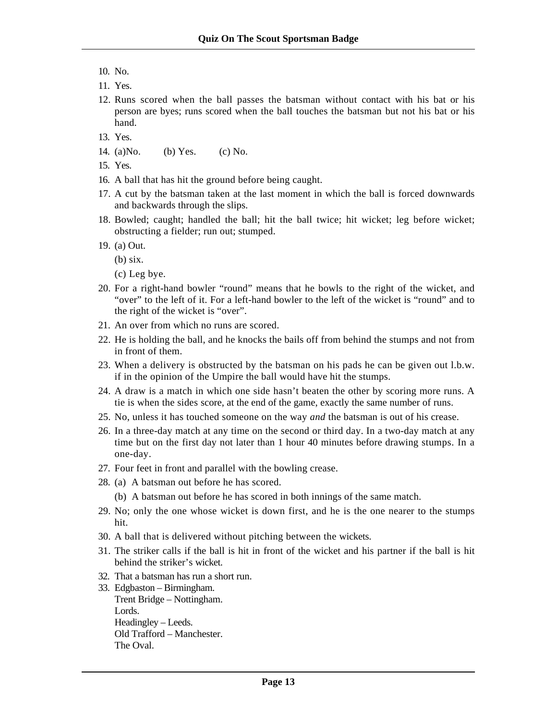- 10. No.
- 11. Yes.
- 12. Runs scored when the ball passes the batsman without contact with his bat or his person are byes; runs scored when the ball touches the batsman but not his bat or his hand.
- 13. Yes.
- 14. (a)No. (b) Yes. (c) No.
- 15. Yes.
- 16. A ball that has hit the ground before being caught.
- 17. A cut by the batsman taken at the last moment in which the ball is forced downwards and backwards through the slips.
- 18. Bowled; caught; handled the ball; hit the ball twice; hit wicket; leg before wicket; obstructing a fielder; run out; stumped.
- 19. (a) Out.
	- (b) six.
	- (c) Leg bye.
- 20. For a right-hand bowler "round" means that he bowls to the right of the wicket, and "over" to the left of it. For a left-hand bowler to the left of the wicket is "round" and to the right of the wicket is "over".
- 21. An over from which no runs are scored.
- 22. He is holding the ball, and he knocks the bails off from behind the stumps and not from in front of them.
- 23. When a delivery is obstructed by the batsman on his pads he can be given out l.b.w. if in the opinion of the Umpire the ball would have hit the stumps.
- 24. A draw is a match in which one side hasn't beaten the other by scoring more runs. A tie is when the sides score, at the end of the game, exactly the same number of runs.
- 25. No, unless it has touched someone on the way *and* the batsman is out of his crease.
- 26. In a three-day match at any time on the second or third day. In a two-day match at any time but on the first day not later than 1 hour 40 minutes before drawing stumps. In a one-day.
- 27. Four feet in front and parallel with the bowling crease.
- 28. (a)A batsman out before he has scored.
	- (b) A batsman out before he has scored in both innings of the same match.
- 29. No; only the one whose wicket is down first, and he is the one nearer to the stumps hit.
- 30. A ball that is delivered without pitching between the wickets.
- 31. The striker calls if the ball is hit in front of the wicket and his partner if the ball is hit behind the striker's wicket.
- 32. That a batsman has run a short run.
- 33. Edgbaston Birmingham. Trent Bridge – Nottingham. Lords. Headingley – Leeds. Old Trafford – Manchester. The Oval.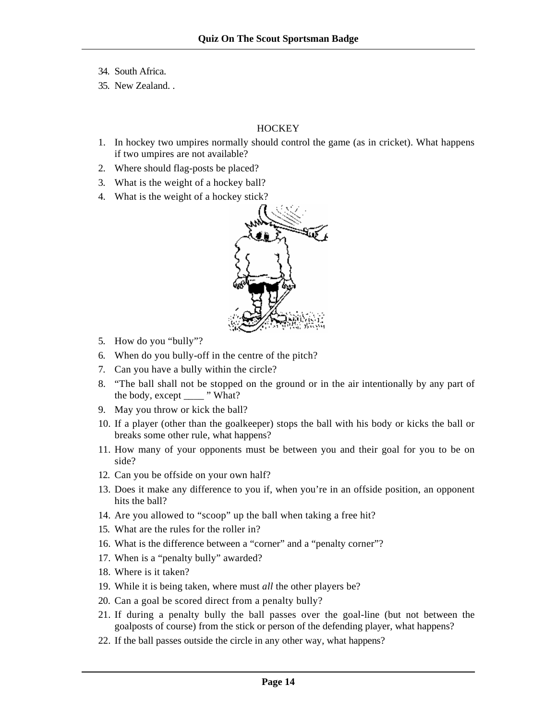- 34. South Africa.
- 35. New Zealand. .

#### **HOCKEY**

- 1. In hockey two umpires normally should control the game (as in cricket). What happens if two umpires are not available?
- 2. Where should flag-posts be placed?
- 3. What is the weight of a hockey ball?
- 4. What is the weight of a hockey stick?



- 5. How do you "bully"?
- 6. When do you bully-off in the centre of the pitch?
- 7. Can you have a bully within the circle?
- 8. "The ball shall not be stopped on the ground or in the air intentionally by any part of the body, except \_\_\_\_\_ " What?
- 9. May you throw or kick the ball?
- 10. If a player (other than the goalkeeper) stops the ball with his body or kicks the ball or breaks some other rule, what happens?
- 11. How many of your opponents must be between you and their goal for you to be on side?
- 12. Can you be offside on your own half?
- 13. Does it make any difference to you if, when you're in an offside position, an opponent hits the ball?
- 14. Are you allowed to "scoop" up the ball when taking a free hit?
- 15. What are the rules for the roller in?
- 16. What is the difference between a "corner" and a "penalty corner"?
- 17. When is a "penalty bully" awarded?
- 18. Where is it taken?
- 19. While it is being taken, where must *all* the other players be?
- 20. Can a goal be scored direct from a penalty bully?
- 21. If during a penalty bully the ball passes over the goal-line (but not between the goalposts of course) from the stick or person of the defending player, what happens?
- 22. If the ball passes outside the circle in any other way, what happens?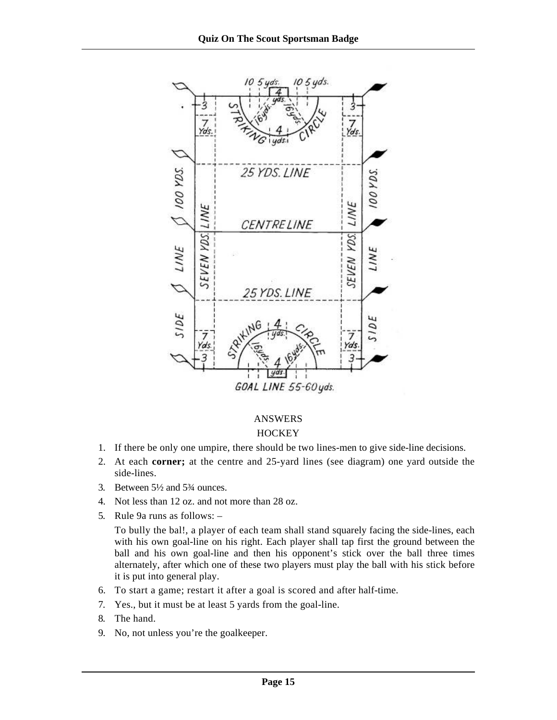

# ANSWERS

### **HOCKEY**

- 1. If there be only one umpire, there should be two lines-men to give side-line decisions.
- 2. At each **corner;** at the centre and 25-yard lines (see diagram) one yard outside the side-lines.
- 3. Between 5½ and 5¾ ounces.
- 4. Not less than 12 oz. and not more than 28 oz.
- 5. Rule 9a runs as follows: –

To bully the bal!, a player of each team shall stand squarely facing the side-lines, each with his own goal-line on his right. Each player shall tap first the ground between the ball and his own goal-line and then his opponent's stick over the ball three times alternately, after which one of these two players must play the ball with his stick before it is put into general play.

- 6. To start a game; restart it after a goal is scored and after half-time.
- 7. Yes., but it must be at least 5 yards from the goal-line.
- 8. The hand.
- 9. No, not unless you're the goalkeeper.